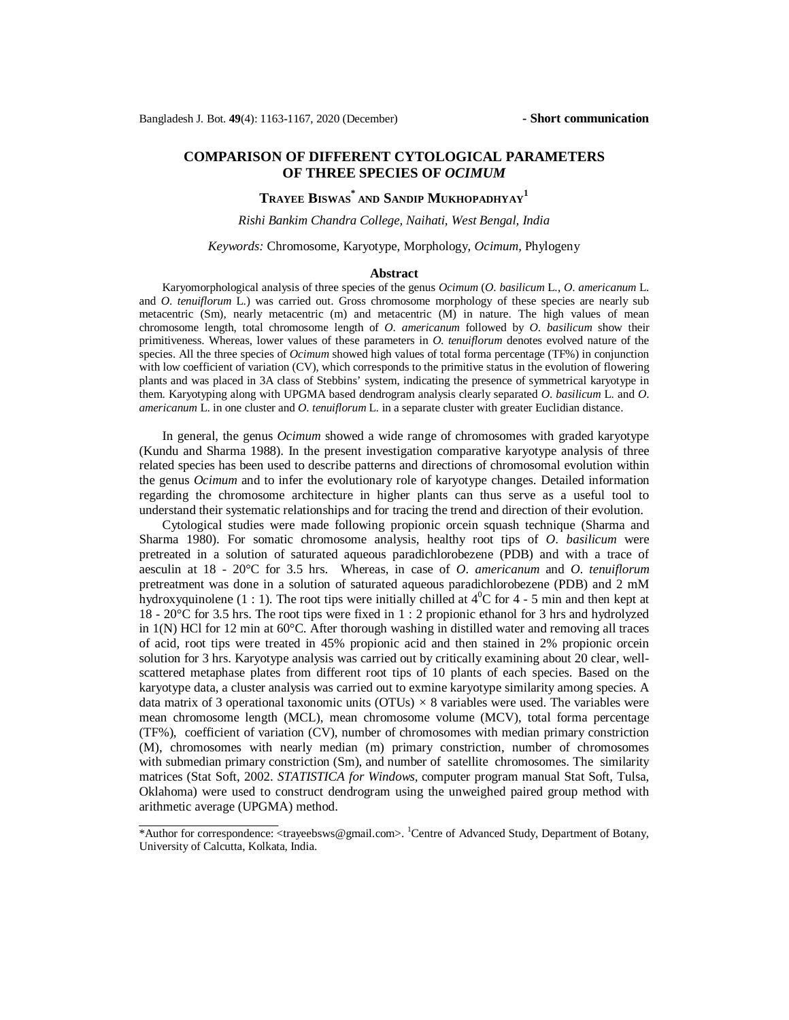# **COMPARISON OF DIFFERENT CYTOLOGICAL PARAMETERS OF THREE SPECIES OF** *OCIMUM*

# **TRAYEE BISWAS\* AND SANDIP MUKHOPADHYAY<sup>1</sup>**

## *Rishi Bankim Chandra College, Naihati, West Bengal, India*

## *Keywords:* Chromosome, Karyotype, Morphology, *Ocimum*, Phylogeny

#### **Abstract**

Karyomorphological analysis of three species of the genus *Ocimum* (*O*. *basilicum* L., *O*. *americanum* L. and *O. tenuiflorum* L.) was carried out. Gross chromosome morphology of these species are nearly sub metacentric (Sm), nearly metacentric (m) and metacentric (M) in nature. The high values of mean chromosome length, total chromosome length of *O*. *americanum* followed by *O*. *basilicum* show their primitiveness. Whereas, lower values of these parameters in *O*. *tenuiflorum* denotes evolved nature of the species. All the three species of *Ocimum* showed high values of total forma percentage (TF%) in conjunction with low coefficient of variation (CV), which corresponds to the primitive status in the evolution of flowering plants and was placed in 3A class of Stebbins' system, indicating the presence of symmetrical karyotype in them. Karyotyping along with UPGMA based dendrogram analysis clearly separated *O*. *basilicum* L. and *O*. *americanum* L. in one cluster and *O*. *tenuiflorum* L. in a separate cluster with greater Euclidian distance.

In general, the genus *Ocimum* showed a wide range of chromosomes with graded karyotype (Kundu and Sharma 1988). In the present investigation comparative karyotype analysis of three related species has been used to describe patterns and directions of chromosomal evolution within the genus *Ocimum* and to infer the evolutionary role of karyotype changes. Detailed information regarding the chromosome architecture in higher plants can thus serve as a useful tool to understand their systematic relationships and for tracing the trend and direction of their evolution.

Cytological studies were made following propionic orcein squash technique (Sharma and Sharma 1980). For somatic chromosome analysis, healthy root tips of *O*. *basilicum* were pretreated in a solution of saturated aqueous paradichlorobezene (PDB) and with a trace of aesculin at 18 - 20°C for 3.5 hrs. Whereas, in case of *O*. *americanum* and *O*. *tenuiflorum* pretreatment was done in a solution of saturated aqueous paradichlorobezene (PDB) and 2 mM hydroxyquinolene (1 : 1). The root tips were initially chilled at  $4^{\circ}$ C for 4 - 5 min and then kept at 18 - 20°C for 3.5 hrs. The root tips were fixed in 1 : 2 propionic ethanol for 3 hrs and hydrolyzed in  $1(N)$  HCl for 12 min at  $60^{\circ}$ C. After thorough washing in distilled water and removing all traces of acid, root tips were treated in 45% propionic acid and then stained in 2% propionic orcein solution for 3 hrs. Karyotype analysis was carried out by critically examining about 20 clear, wellscattered metaphase plates from different root tips of 10 plants of each species. Based on the karyotype data, a cluster analysis was carried out to exmine karyotype similarity among species. A data matrix of 3 operational taxonomic units (OTUs) *×* 8 variables were used. The variables were mean chromosome length (MCL), mean chromosome volume (MCV), total forma percentage (TF%), coefficient of variation (CV), number of chromosomes with median primary constriction (M), chromosomes with nearly median (m) primary constriction, number of chromosomes with submedian primary constriction (Sm), and number of satellite chromosomes. The similarity matrices (Stat Soft, 2002. *STATISTICA for Windows,* computer program manual Stat Soft, Tulsa, Oklahoma) were used to construct dendrogram using the unweighed paired group method with arithmetic average (UPGMA) method.

<sup>\*</sup>Author for correspondence: <[trayeebsws@gmail.com>](mailto:trayeebsws@gmail.com). <sup>1</sup>Centre of Advanced Study, Department of Botany, University of Calcutta, Kolkata, India.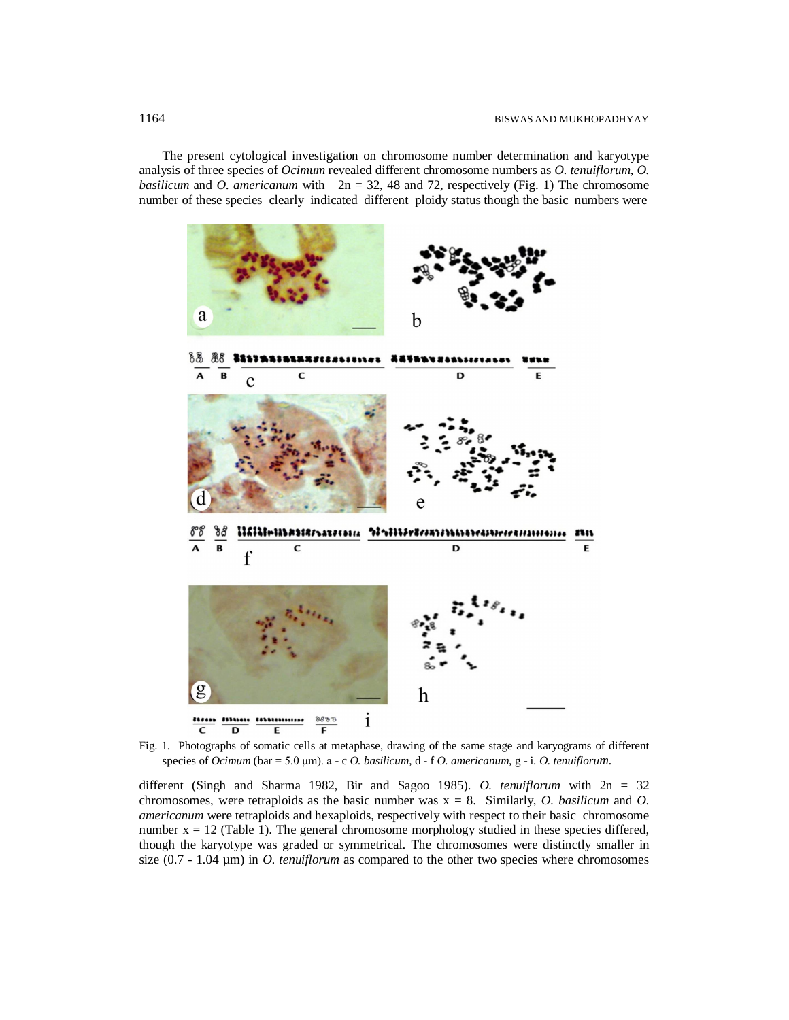The present cytological investigation on chromosome number determination and karyotype analysis of three species of *Ocimum* revealed different chromosome numbers as *O. tenuiflorum, O. basilicum* and *O. americanum* with  $2n = 32$ , 48 and 72, respectively (Fig. 1) The chromosome number of these species clearly indicated different ploidy status though the basic numbers were



Fig. 1.Photographs of somatic cells at metaphase, drawing of the same stage and karyograms of different species of *Ocimum* (bar = 5.0 μm). a - c *O. basilicum*, d - f *O. americanum*, g - i. *O. tenuiflorum*.

different (Singh and Sharma 1982, Bir and Sagoo 1985). *O. tenuiflorum* with 2n = 32 chromosomes, were tetraploids as the basic number was x = 8. Similarly, *O. basilicum* and *O. americanum* were tetraploids and hexaploids, respectively with respect to their basic chromosome number  $x = 12$  (Table 1). The general chromosome morphology studied in these species differed, though the karyotype was graded or symmetrical. The chromosomes were distinctly smaller in size (0.7 - 1.04 µm) in *O. tenuiflorum* as compared to the other two species where chromosomes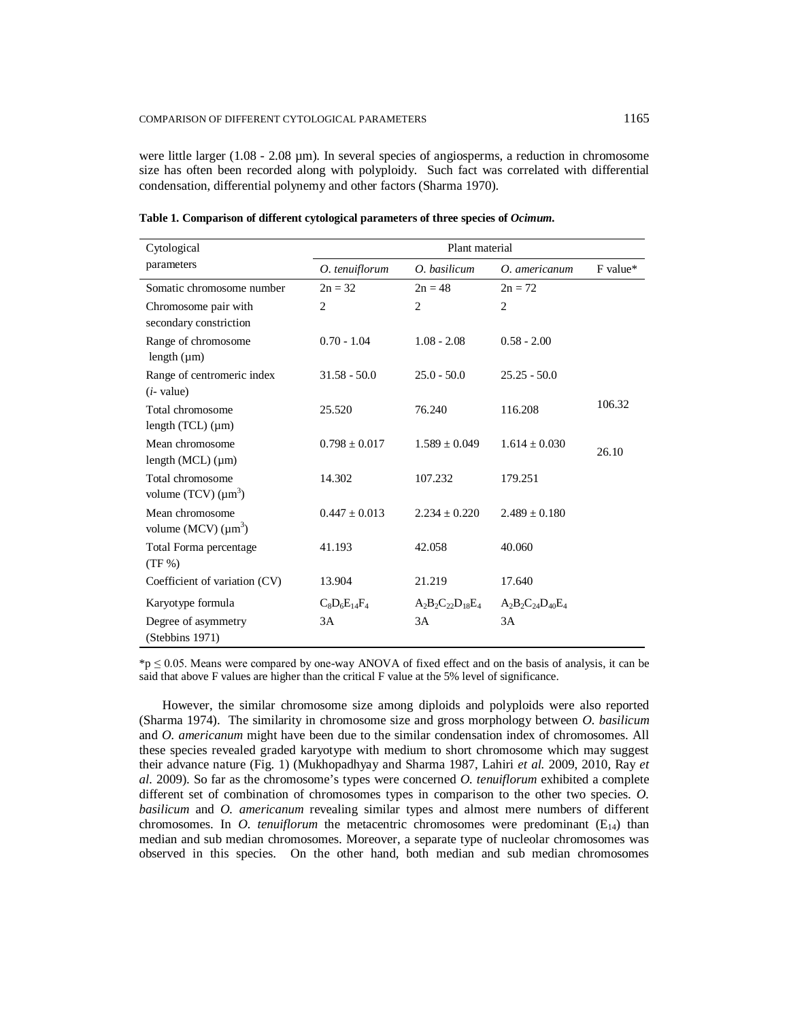were little larger  $(1.08 - 2.08 \,\mu\text{m})$ . In several species of angiosperms, a reduction in chromosome size has often been recorded along with polyploidy. Such fact was correlated with differential condensation, differential polynemy and other factors (Sharma 1970).

| Cytological                                    | Plant material    |                         |                         |          |
|------------------------------------------------|-------------------|-------------------------|-------------------------|----------|
| parameters                                     | O. tenuiflorum    | O. basilicum            | O. americanum           | F value* |
| Somatic chromosome number                      | $2n = 32$         | $2n = 48$               | $2n = 72$               |          |
| Chromosome pair with<br>secondary constriction | $\overline{2}$    | $\overline{c}$          | $\overline{2}$          |          |
| Range of chromosome<br>length $(\mu m)$        | $0.70 - 1.04$     | $1.08 - 2.08$           | $0.58 - 2.00$           |          |
| Range of centromeric index<br>$(i$ - value)    | $31.58 - 50.0$    | $25.0 - 50.0$           | $25.25 - 50.0$          |          |
| Total chromosome<br>length $(TCL)$ ( $\mu$ m)  | 25.520            | 76.240                  | 116.208                 | 106.32   |
| Mean chromosome<br>length $(MCL)$ ( $\mu$ m)   | $0.798 \pm 0.017$ | $1.589 + 0.049$         | $1.614 \pm 0.030$       | 26.10    |
| Total chromosome<br>volume (TCV) $(\mu m^3)$   | 14.302            | 107.232                 | 179.251                 |          |
| Mean chromosome<br>volume (MCV) $(\mu m^3)$    | $0.447 + 0.013$   | $2.234 + 0.220$         | $2.489 + 0.180$         |          |
| Total Forma percentage<br>$(TF\% )$            | 41.193            | 42.058                  | 40.060                  |          |
| Coefficient of variation (CV)                  | 13.904            | 21.219                  | 17.640                  |          |
| Karyotype formula                              | $C_8D_6E_{14}F_4$ | $A_2B_2C_{22}D_{18}E_4$ | $A_2B_2C_{24}D_{40}E_4$ |          |
| Degree of asymmetry<br>(Stebbins 1971)         | 3A                | 3A                      | 3A                      |          |

**Table 1. Comparison of different cytological parameters of three species of** *Ocimum.*

 $*_p \leq 0.05$ . Means were compared by one-way ANOVA of fixed effect and on the basis of analysis, it can be said that above F values are higher than the critical F value at the 5% level of significance.

However, the similar chromosome size among diploids and polyploids were also reported (Sharma 1974). The similarity in chromosome size and gross morphology between *O. basilicum* and *O. americanum* might have been due to the similar condensation index of chromosomes. All these species revealed graded karyotype with medium to short chromosome which may suggest their advance nature (Fig. 1) (Mukhopadhyay and Sharma 1987, Lahiri *et al.* 2009, 2010, Ray *et al.* 2009). So far as the chromosome's types were concerned *O. tenuiflorum* exhibited a complete different set of combination of chromosomes types in comparison to the other two species. *O. basilicum* and *O. americanum* revealing similar types and almost mere numbers of different chromosomes. In *O. tenuiflorum* the metacentric chromosomes were predominant  $(E_{14})$  than median and sub median chromosomes. Moreover, a separate type of nucleolar chromosomes was observed in this species. On the other hand, both median and sub median chromosomes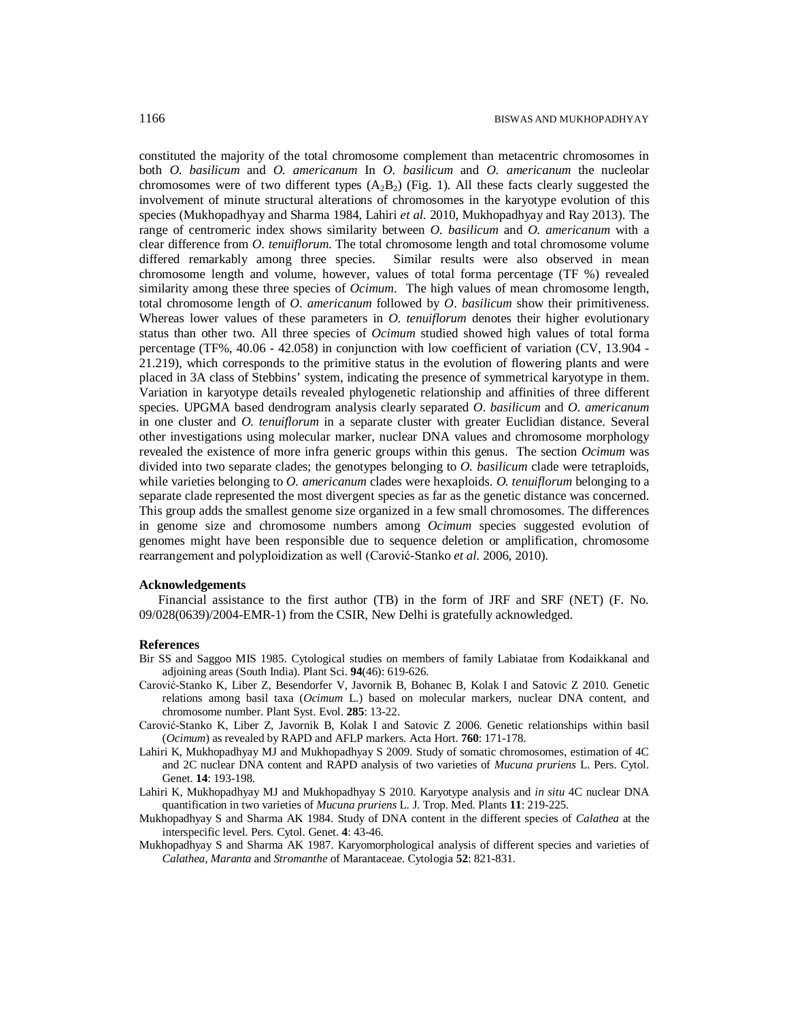constituted the majority of the total chromosome complement than metacentric chromosomes in both *O. basilicum* and *O. americanum* In *O. basilicum* and *O. americanum* the nucleolar chromosomes were of two different types  $(A_2B_2)$  (Fig. 1). All these facts clearly suggested the involvement of minute structural alterations of chromosomes in the karyotype evolution of this species (Mukhopadhyay and Sharma 1984, Lahiri *et al.* 2010, Mukhopadhyay and Ray 2013). The range of centromeric index shows similarity between *O. basilicum* and *O. americanum* with a clear difference from *O. tenuiflorum*. The total chromosome length and total chromosome volume differed remarkably among three species. Similar results were also observed in mean chromosome length and volume, however, values of total forma percentage (TF %) revealed similarity among these three species of *Ocimum*. The high values of mean chromosome length, total chromosome length of *O*. *americanum* followed by *O*. *basilicum* show their primitiveness. Whereas lower values of these parameters in *O*. *tenuiflorum* denotes their higher evolutionary status than other two. All three species of *Ocimum* studied showed high values of total forma percentage (TF%, 40.06 - 42.058) in conjunction with low coefficient of variation (CV, 13.904 - 21.219), which corresponds to the primitive status in the evolution of flowering plants and were placed in 3A class of Stebbins' system, indicating the presence of symmetrical karyotype in them. Variation in karyotype details revealed phylogenetic relationship and affinities of three different species. UPGMA based dendrogram analysis clearly separated *O*. *basilicum* and *O*. *americanum* in one cluster and *O*. *tenuiflorum* in a separate cluster with greater Euclidian distance. Several other investigations using molecular marker, nuclear DNA values and chromosome morphology revealed the existence of more infra generic groups within this genus. The section *Ocimum* was divided into two separate clades; the genotypes belonging to *O. basilicum* clade were tetraploids, while varieties belonging to *O. americanum* clades were hexaploids. *O. tenuiflorum* belonging to a separate clade represented the most divergent species as far as the genetic distance was concerned. This group adds the smallest genome size organized in a few small chromosomes. The differences in genome size and chromosome numbers among *Ocimum* species suggested evolution of genomes might have been responsible due to sequence deletion or amplification, chromosome rearrangement and polyploidization as well (Carović-Stanko *et al*. 2006, 2010).

#### **Acknowledgements**

 Financial assistance to the first author (TB) in the form of JRF and SRF (NET) (F. No. 09/028(0639)/2004-EMR-1) from the CSIR, New Delhi is gratefully acknowledged.

#### **References**

- Bir SS and Saggoo MIS 1985. Cytological studies on members of family Labiatae from Kodaikkanal and adjoining areas (South India). Plant Sci. **94**(46): 619-626.
- Carović-Stanko K, Liber Z, Besendorfer V, Javornik B, Bohanec B, Kolak I and Satovic Z 2010. Genetic relations among basil taxa (*Ocimum* L.) based on molecular markers, nuclear DNA content, and chromosome number. Plant Syst. Evol. **285**: 13-22.
- Carović-Stanko K, Liber Z, Javornik B, Kolak I and Satovic Z 2006. Genetic relationships within basil (*Ocimum*) as revealed by RAPD and AFLP markers. Acta Hort. **760**: 171-178.
- Lahiri K, Mukhopadhyay MJ and Mukhopadhyay S 2009. Study of somatic chromosomes, estimation of 4C and 2C nuclear DNA content and RAPD analysis of two varieties of *Mucuna pruriens* L. Pers. Cytol. Genet. **14**: 193-198.
- Lahiri K, Mukhopadhyay MJ and Mukhopadhyay S 2010. Karyotype analysis and *in situ* 4C nuclear DNA quantification in two varieties of *Mucuna pruriens* L. J. Trop. Med. Plants **11**: 219-225.
- Mukhopadhyay S and Sharma AK 1984. Study of DNA content in the different species of *Calathea* at the interspecific level. Pers. Cytol. Genet. **4**: 43-46.
- Mukhopadhyay S and Sharma AK 1987. Karyomorphological analysis of different species and varieties of *Calathea*, *Maranta* and *Stromanthe* of Marantaceae. Cytologia **52**: 821-831.